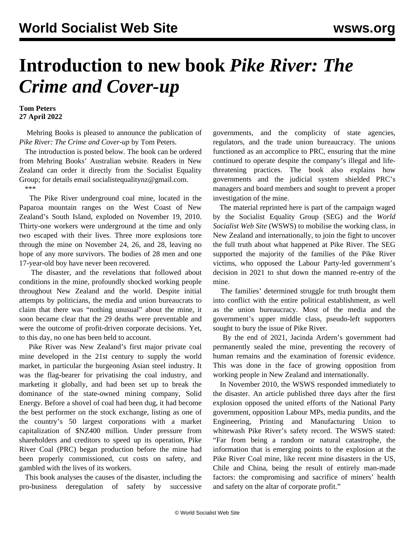## **Introduction to new book** *Pike River: The Crime and Cover-up*

**Tom Peters 27 April 2022**

 Mehring Books is pleased to announce the publication of *Pike River: The Crime and Cover-up* by Tom Peters.

 The introduction is posted below. The book can be ordered from Mehring Books' Australian [website.](https://mehring.com.au/product/pike-river-the-crime-and-cover-up/) Readers in New Zealand can order it directly from the Socialist Equality Group; for details email socialistequalitynz@gmail.com. \*\*\*

 The Pike River underground coal mine, located in the Paparoa mountain ranges on the West Coast of New Zealand's South Island, exploded on November 19, 2010. Thirty-one workers were underground at the time and only two escaped with their lives. Three more explosions tore through the mine on November 24, 26, and 28, leaving no hope of any more survivors. The bodies of 28 men and one 17-year-old boy have never been recovered.

 The disaster, and the revelations that followed about conditions in the mine, profoundly shocked working people throughout New Zealand and the world. Despite initial attempts by politicians, the media and union bureaucrats to claim that there was "nothing unusual" about the mine, it soon became clear that the 29 deaths were preventable and were the outcome of profit-driven corporate decisions. Yet, to this day, no one has been held to account.

 Pike River was New Zealand's first major private coal mine developed in the 21st century to supply the world market, in particular the burgeoning Asian steel industry. It was the flag-bearer for privatising the coal industry, and marketing it globally, and had been set up to break the dominance of the state-owned mining company, Solid Energy. Before a shovel of coal had been dug, it had become the best performer on the stock exchange, listing as one of the country's 50 largest corporations with a market capitalization of \$NZ400 million. Under pressure from shareholders and creditors to speed up its operation, Pike River Coal (PRC) began production before the mine had been properly commissioned, cut costs on safety, and gambled with the lives of its workers.

 This book analyses the causes of the disaster, including the pro-business deregulation of safety by successive governments, and the complicity of state agencies, regulators, and the trade union bureaucracy. The unions functioned as an accomplice to PRC, ensuring that the mine continued to operate despite the company's illegal and lifethreatening practices. The book also explains how governments and the judicial system shielded PRC's managers and board members and sought to prevent a proper investigation of the mine.

 The material reprinted here is part of the campaign waged by the Socialist Equality Group (SEG) and the *World Socialist Web Site* (WSWS) to mobilise the working class, in New Zealand and internationally, to join the fight to uncover the full truth about what happened at Pike River. The SEG supported the majority of the families of the Pike River victims, who opposed the Labour Party-led government's decision in 2021 to shut down the manned re-entry of the mine.

 The families' determined struggle for truth brought them into conflict with the entire political establishment, as well as the union bureaucracy. Most of the media and the government's upper middle class, pseudo-left supporters sought to bury the issue of Pike River.

 By the end of 2021, Jacinda Ardern's government had permanently sealed the mine, preventing the recovery of human remains and the examination of forensic evidence. This was done in the face of growing opposition from working people in New Zealand and internationally.

 In November 2010, the WSWS responded immediately to the disaster. An article published three days after the first explosion opposed the united efforts of the National Party government, opposition Labour MPs, media pundits, and the Engineering, Printing and Manufacturing Union to whitewash Pike River's safety record. The WSWS stated: "Far from being a random or natural catastrophe, the information that is emerging points to the explosion at the Pike River Coal mine, like recent mine disasters in the US, Chile and China, being the result of entirely man-made factors: the compromising and sacrifice of miners' health and safety on the altar of corporate profit."